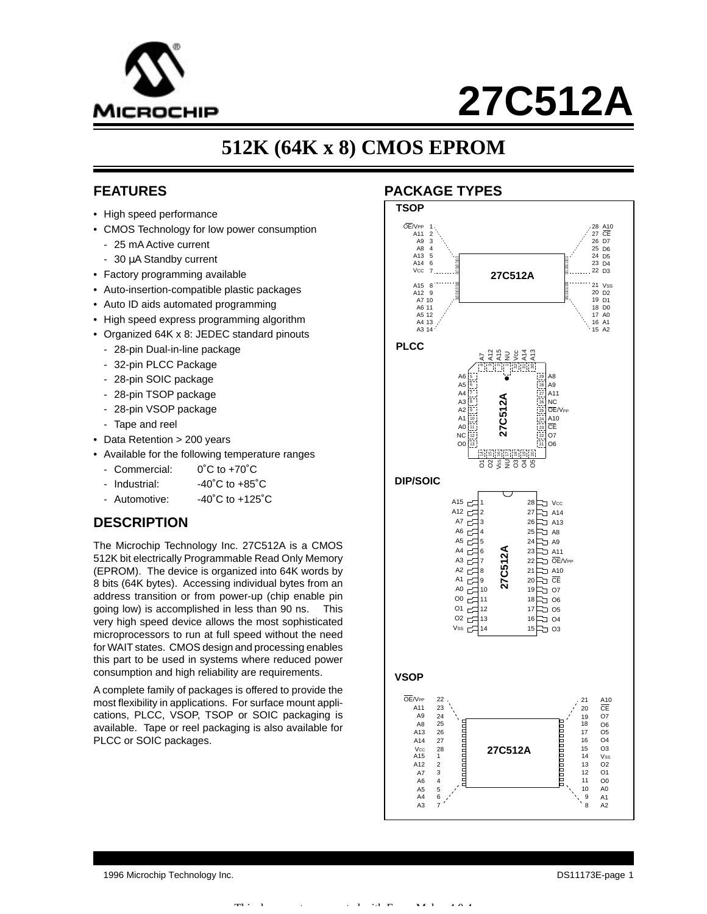

# **27C512A**

# **512K (64K x 8) CMOS EPROM**

# **FEATURES**

- High speed performance
- CMOS Technology for low power consumption
	- 25 mA Active current
	- 30 µA Standby current
- Factory programming available
- Auto-insertion-compatible plastic packages
- Auto ID aids automated programming
- High speed express programming algorithm
- Organized 64K x 8: JEDEC standard pinouts
	- 28-pin Dual-in-line package
	- 32-pin PLCC Package
	- 28-pin SOIC package
	- 28-pin TSOP package
	- 28-pin VSOP package
	- Tape and reel
- Data Retention > 200 years
- Available for the following temperature ranges
	- Commercial: 0°C to +70°C
	- $-$  Industrial:  $-40^{\circ}$ C to  $+85^{\circ}$ C
	- Automotive: -40°C to +125°C

# **DESCRIPTION**

The Microchip Technology Inc. 27C512A is a CMOS 512K bit electrically Programmable Read Only Memory (EPROM). The device is organized into 64K words by 8 bits (64K bytes). Accessing individual bytes from an address transition or from power-up (chip enable pin going low) is accomplished in less than 90 ns. This very high speed device allows the most sophisticated microprocessors to run at full speed without the need for WAIT states. CMOS design and processing enables this part to be used in systems where reduced power consumption and high reliability are requirements.

A complete family of packages is offered to provide the most flexibility in applications. For surface mount applications, PLCC, VSOP, TSOP or SOIC packaging is available. Tape or reel packaging is also available for PLCC or SOIC packages.

# **PACKAGE TYPES**



1996 Microchip Technology Inc. DS11173E-page 1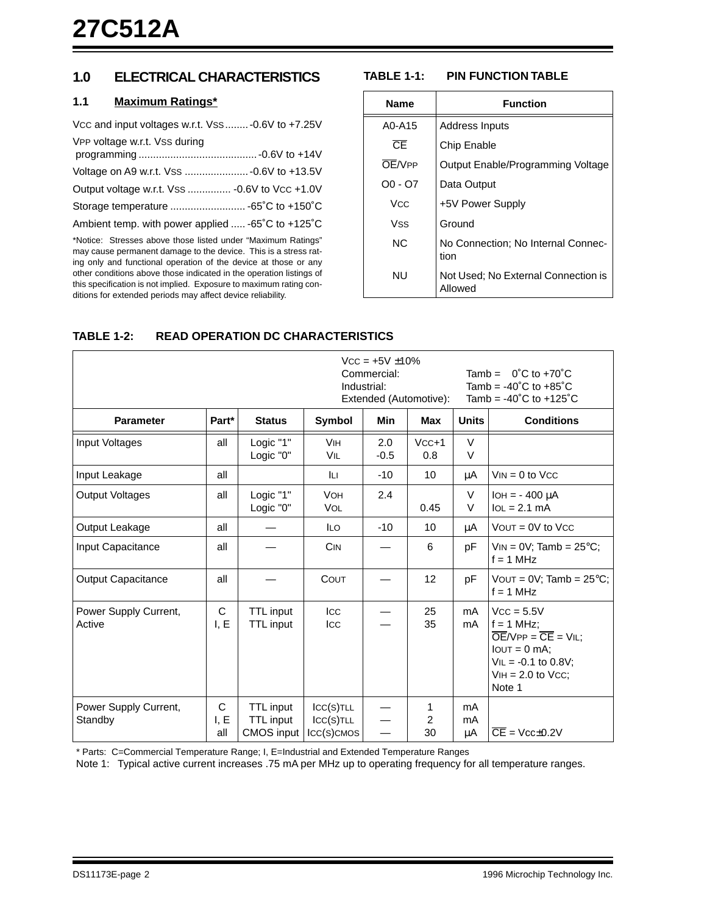# **1.0 ELECTRICAL CHARACTERISTICS**

### **1.1 Maximum Ratings\***

| Vcc and input voltages w.r.t. Vss  -0.6V to +7.25V |
|----------------------------------------------------|
| VPP voltage w.r.t. Vss during                      |
|                                                    |
| Output voltage w.r.t. Vss  - 0.6V to Vcc +1.0V     |
|                                                    |
| Ambient temp. with power applied  -65°C to +125°C  |

\*Notice: Stresses above those listed under "Maximum Ratings" may cause permanent damage to the device. This is a stress rating only and functional operation of the device at those or any other conditions above those indicated in the operation listings of this specification is not implied. Exposure to maximum rating conditions for extended periods may affect device reliability.

# **TABLE 1-1: PIN FUNCTION TABLE**

| <b>Name</b> | <b>Function</b>                                |
|-------------|------------------------------------------------|
| A0-A15      | Address Inputs                                 |
| ŒΕ          | Chip Enable                                    |
| OF/VPP      | Output Enable/Programming Voltage              |
| O0 - O7     | Data Output                                    |
| Vcc.        | +5V Power Supply                               |
| Vss         | Ground                                         |
| NC.         | No Connection; No Internal Connec-<br>tion     |
| NU          | Not Used: No External Connection is<br>Allowed |

|                                  |                  |                                                    |                                      | $VCC = +5V \pm 10\%$<br>Commercial:<br>Industrial: | Extended (Automotive): | Tamb = $0^{\circ}$ C to +70 $^{\circ}$ C<br>Tamb = $-40^{\circ}$ C to $+85^{\circ}$ C<br>Tamb = $-40^{\circ}$ C to $+125^{\circ}$ C |                                                                                                                                                             |  |
|----------------------------------|------------------|----------------------------------------------------|--------------------------------------|----------------------------------------------------|------------------------|-------------------------------------------------------------------------------------------------------------------------------------|-------------------------------------------------------------------------------------------------------------------------------------------------------------|--|
| <b>Parameter</b>                 | Part*            | <b>Status</b>                                      | Symbol                               | <b>Min</b>                                         | <b>Max</b>             | <b>Units</b>                                                                                                                        | <b>Conditions</b>                                                                                                                                           |  |
| Input Voltages                   | all              | Logic "1"<br>Logic "0"                             | <b>VIH</b><br><b>VIL</b>             | 2.0<br>$-0.5$                                      | $VCC+1$<br>0.8         | $\vee$<br>$\vee$                                                                                                                    |                                                                                                                                                             |  |
| Input Leakage                    | all              |                                                    | Iц                                   | $-10$                                              | 10                     | μA                                                                                                                                  | $VIN = 0$ to $VCC$                                                                                                                                          |  |
| <b>Output Voltages</b>           | all              | Logic "1"<br>Logic "0"                             | <b>VOH</b><br><b>VOL</b>             | 2.4                                                | 0.45                   | V<br>$\vee$                                                                                                                         | $IOH = -400 \mu A$<br>$IoL = 2.1 mA$                                                                                                                        |  |
| Output Leakage                   | all              |                                                    | <b>ILO</b>                           | $-10$                                              | 10                     | μA                                                                                                                                  | $VOUT = 0V$ to $VCC$                                                                                                                                        |  |
| Input Capacitance                | all              |                                                    | <b>CIN</b>                           |                                                    | 6                      | рF                                                                                                                                  | $VIN = 0V$ ; Tamb = 25°C;<br>$f = 1$ MHz                                                                                                                    |  |
| <b>Output Capacitance</b>        | all              |                                                    | COUT                                 |                                                    | 12                     | рF                                                                                                                                  | VOUT = $0V$ ; Tamb = $25^{\circ}$ C;<br>$f = 1$ MHz                                                                                                         |  |
| Power Supply Current,<br>Active  | C<br>I, E        | TTL input<br><b>TTL</b> input                      | Icc<br>Icc                           |                                                    | 25<br>35               | mA<br>mA                                                                                                                            | $Vcc = 5.5V$<br>$f = 1$ MHz:<br>$\overline{OE}/VPP = \overline{CE} = VIL$ ;<br>$IOUT = 0 mA$ :<br>$VIL = -0.1$ to 0.8V;<br>$VIH = 2.0$ to $VCC$ ;<br>Note 1 |  |
| Power Supply Current,<br>Standby | С<br>I, E<br>all | TTL input<br><b>TTL</b> input<br><b>CMOS</b> input | ICC(S)TLL<br>ICC(S)TLL<br>ICC(S)CMOS |                                                    | 1<br>2<br>30           | mA<br>mA<br>μA                                                                                                                      | $\overline{CE}$ = Vcc $\pm$ 0.2V                                                                                                                            |  |

# **TABLE 1-2: READ OPERATION DC CHARACTERISTICS**

\* Parts: C=Commercial Temperature Range; I, E=Industrial and Extended Temperature Ranges

Note 1: Typical active current increases .75 mA per MHz up to operating frequency for all temperature ranges.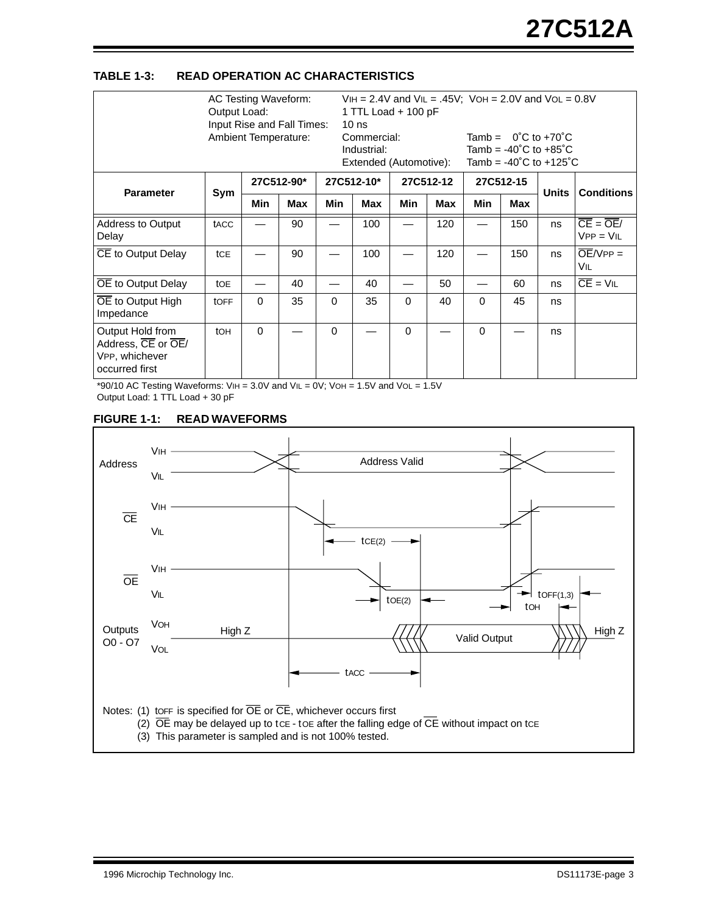#### **TABLE 1-3: READ OPERATION AC CHARACTERISTICS**

|                                                                            | Output Load:    | AC Testing Waveform:<br>Ambient Temperature: | Input Rise and Fall Times: |          | 1 TTL Load + 100 pF<br>10 <sub>ns</sub><br>Commercial:<br>Industrial:<br>Extended (Automotive): |            |           | $VIH = 2.4V$ and $VIL = .45V$ ; $VOH = 2.0V$ and $VOL = 0.8V$<br>Tamb = $0^{\circ}$ C to +70 $^{\circ}$ C<br>Tamb = $-40^{\circ}$ C to $+85^{\circ}$ C<br>Tamb = $-40^{\circ}$ C to $+125^{\circ}$ C |           |              |                                                 |
|----------------------------------------------------------------------------|-----------------|----------------------------------------------|----------------------------|----------|-------------------------------------------------------------------------------------------------|------------|-----------|------------------------------------------------------------------------------------------------------------------------------------------------------------------------------------------------------|-----------|--------------|-------------------------------------------------|
| <b>Parameter</b>                                                           |                 |                                              | 27C512-90*                 |          | 27C512-10*                                                                                      |            | 27C512-12 |                                                                                                                                                                                                      | 27C512-15 |              | <b>Conditions</b>                               |
|                                                                            | Sym             | Min                                          | Max                        | Min      | Max                                                                                             | <b>Min</b> | Max       | <b>Min</b>                                                                                                                                                                                           | Max       | <b>Units</b> |                                                 |
| <b>Address to Output</b><br>Delay                                          | tACC            |                                              | 90                         |          | 100                                                                                             |            | 120       |                                                                                                                                                                                                      | 150       | ns           | $\overline{CE} = \overline{OE}/$<br>$VPP = VIL$ |
| CE to Output Delay                                                         | tCE             |                                              | 90                         |          | 100                                                                                             |            | 120       |                                                                                                                                                                                                      | 150       | ns           | $\overline{OE}/VPP =$<br>VIL                    |
| OE to Output Delay                                                         | toe             |                                              | 40                         |          | 40                                                                                              |            | 50        |                                                                                                                                                                                                      | 60        | ns           | $\overline{CE}$ = $VIL$                         |
| OE to Output High<br>Impedance                                             | <b>tOFF</b>     | $\Omega$                                     | 35                         | $\Omega$ | 35                                                                                              | $\Omega$   | 40        | $\Omega$                                                                                                                                                                                             | 45        | ns           |                                                 |
| Output Hold from<br>Address, CE or OE/<br>VPP, whichever<br>occurred first | to <sub>H</sub> | $\Omega$                                     |                            | $\Omega$ |                                                                                                 | $\Omega$   |           | $\Omega$                                                                                                                                                                                             |           | ns           |                                                 |

 $*90/10$  AC Testing Waveforms: VIH = 3.0V and VIL = 0V; VOH = 1.5V and VOL = 1.5V Output Load: 1 TTL Load + 30 pF

#### **FIGURE 1-1: READ WAVEFORMS**

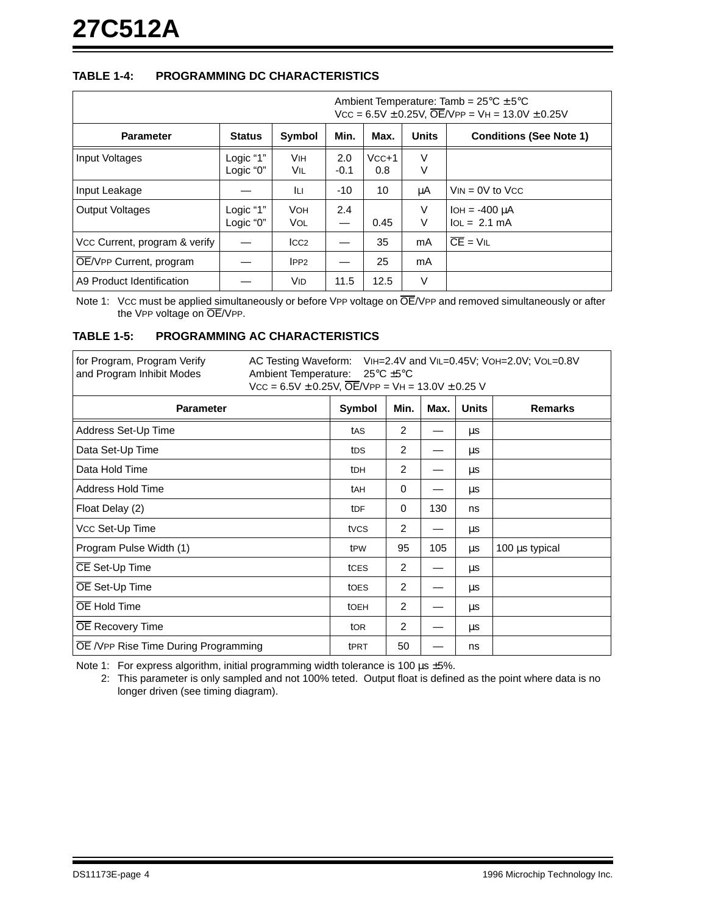# **TABLE 1-4: PROGRAMMING DC CHARACTERISTICS**

| Ambient Temperature: Tamb = $25^{\circ}C \pm 5^{\circ}C$<br>$Vcc = 6.5V \pm 0.25V$ , $\overline{OE}/VPP = VH = 13.0V \pm 0.25V$ |                        |                          |               |                |              |                                      |  |  |
|---------------------------------------------------------------------------------------------------------------------------------|------------------------|--------------------------|---------------|----------------|--------------|--------------------------------------|--|--|
| <b>Parameter</b>                                                                                                                | <b>Status</b>          | <b>Symbol</b>            | Min.          | Max.           | <b>Units</b> | <b>Conditions (See Note 1)</b>       |  |  |
| Input Voltages                                                                                                                  | Logic "1"<br>Logic "0" | <b>VIH</b><br>Vil        | 2.0<br>$-0.1$ | $VCC+1$<br>0.8 | $\vee$<br>V  |                                      |  |  |
| Input Leakage                                                                                                                   |                        | ĪЦ                       | $-10$         | 10             | μA           | $V_{IN} = 0V$ to $V_{CC}$            |  |  |
| <b>Output Voltages</b>                                                                                                          | Logic "1"<br>Logic "0" | <b>VOH</b><br><b>VOL</b> | 2.4<br>—      | 0.45           | V<br>$\vee$  | $IOH = -400 \mu A$<br>$IOL = 2.1 mA$ |  |  |
| Vcc Current, program & verify                                                                                                   |                        | ICC2                     |               | 35             | mA           | $\overline{CF}$ = VII                |  |  |
| OE/VPP Current, program                                                                                                         |                        | IPP2                     |               | 25             | mA           |                                      |  |  |
| A9 Product Identification                                                                                                       |                        | VID                      | 11.5          | 12.5           | V            |                                      |  |  |

Note 1: Vcc must be applied simultaneously or before VPP voltage on  $\overline{OE}$ /VPP and removed simultaneously or after the VPP voltage on OE/VPP.

#### **TABLE 1-5: PROGRAMMING AC CHARACTERISTICS**

| for Program, Program Verify<br>AC Testing Waveform: VIH=2.4V and VIL=0.45V; VOH=2.0V; VOL=0.8V<br>and Program Inhibit Modes<br>Ambient Temperature: $25^{\circ}$ C $\pm 5^{\circ}$ C<br>$Vcc = 6.5V \pm 0.25V$ , $\overline{OE}/VPP = VH = 13.0V \pm 0.25 V$ |                  |                |      |              |                |  |  |  |  |
|--------------------------------------------------------------------------------------------------------------------------------------------------------------------------------------------------------------------------------------------------------------|------------------|----------------|------|--------------|----------------|--|--|--|--|
| <b>Parameter</b>                                                                                                                                                                                                                                             | Symbol           | Min.           | Max. | <b>Units</b> | <b>Remarks</b> |  |  |  |  |
| Address Set-Up Time                                                                                                                                                                                                                                          | tAS              | $\overline{2}$ |      | μs           |                |  |  |  |  |
| Data Set-Up Time                                                                                                                                                                                                                                             | t <sub>DS</sub>  | 2              |      | μs           |                |  |  |  |  |
| Data Hold Time                                                                                                                                                                                                                                               | t <sub>DH</sub>  | 2              |      | μs           |                |  |  |  |  |
| Address Hold Time                                                                                                                                                                                                                                            | tAH              | 0              |      | μs           |                |  |  |  |  |
| Float Delay (2)                                                                                                                                                                                                                                              | tDF              | $\Omega$       | 130  | ns           |                |  |  |  |  |
| Vcc Set-Up Time                                                                                                                                                                                                                                              | tvcs             | $\overline{2}$ |      | μs           |                |  |  |  |  |
| Program Pulse Width (1)                                                                                                                                                                                                                                      | tPW              | 95             | 105  | <b>us</b>    | 100 µs typical |  |  |  |  |
| CE Set-Up Time                                                                                                                                                                                                                                               | tCES             | $\overline{2}$ |      | μs           |                |  |  |  |  |
| OE Set-Up Time                                                                                                                                                                                                                                               | toes             | $\overline{2}$ |      | μs           |                |  |  |  |  |
| OE Hold Time                                                                                                                                                                                                                                                 | tOEH             | 2              |      | μs           |                |  |  |  |  |
| <b>OE</b> Recovery Time                                                                                                                                                                                                                                      | to <sub>R</sub>  | $\overline{2}$ |      | μs           |                |  |  |  |  |
| OE /VPP Rise Time During Programming                                                                                                                                                                                                                         | t <sub>PRT</sub> | 50             |      | ns           |                |  |  |  |  |

Note 1: For express algorithm, initial programming width tolerance is 100  $\mu$ s  $\pm$ 5%.

2: This parameter is only sampled and not 100% teted. Output float is defined as the point where data is no longer driven (see timing diagram).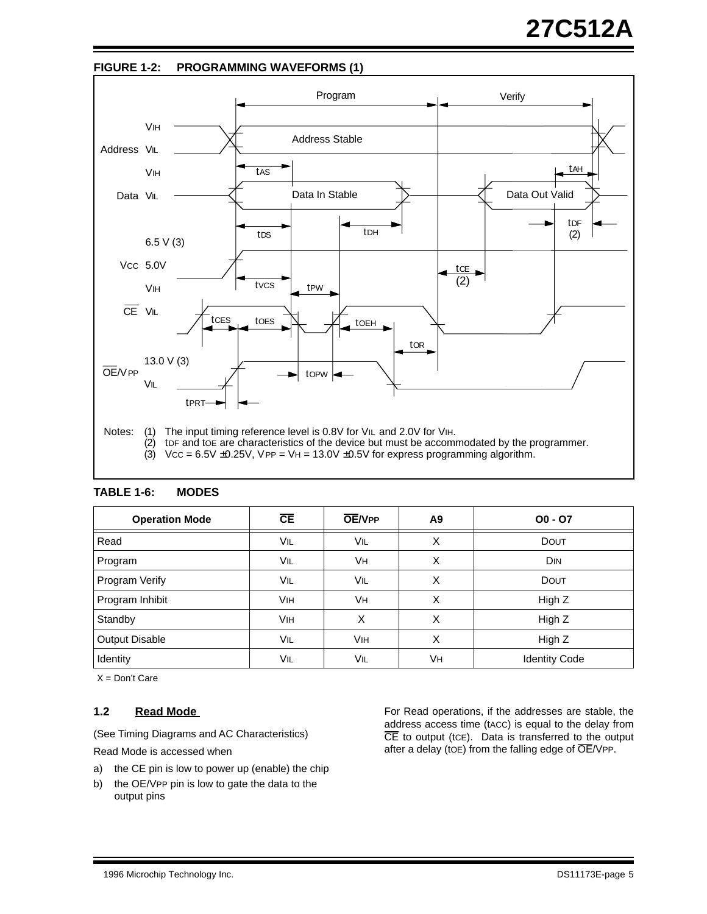

| <b>Operation Mode</b> | CE         | <b>OE/VPP</b> | A9 | $00 - 07$            |
|-----------------------|------------|---------------|----|----------------------|
| Read                  | VIL        | VIL           | X  | <b>DOUT</b>          |
| Program               | VIL        | VH.           | X  | <b>DIN</b>           |
| Program Verify        | VIL        | <b>VIL</b>    | х  | <b>DOUT</b>          |
| Program Inhibit       | <b>VIH</b> | Vн            | X  | High Z               |
| Standby               | <b>VIH</b> | X             | X  | High Z               |
| <b>Output Disable</b> | VIL        | Vін           | X  | High Z               |
| Identity              | VIL        | VIL           | Vн | <b>Identity Code</b> |

**TABLE 1-6: MODES**

 $X = Don't Care$ 

# **1.2 Read Mode**

(See Timing Diagrams and AC Characteristics)

Read Mode is accessed when

- a) the CE pin is low to power up (enable) the chip
- b) the OE/VPP pin is low to gate the data to the output pins

For Read operations, if the addresses are stable, the address access time (tacc) is equal to the delay from  $\overline{CE}$  to output (tce). Data is transferred to the output after a delay (toe) from the falling edge of  $\overline{OE}$ /VPP.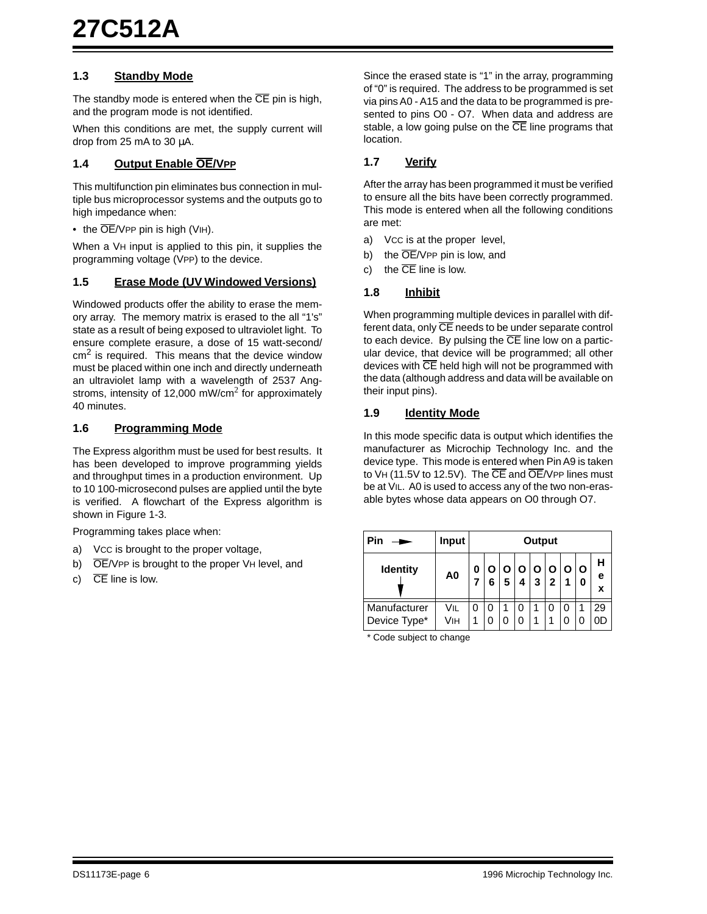#### **1.3 Standby Mode**

The standby mode is entered when the  $\overline{CE}$  pin is high, and the program mode is not identified.

When this conditions are met, the supply current will drop from 25 mA to 30  $\mu$ A.

#### **1.4 Output Enable OE/VPP**

This multifunction pin eliminates bus connection in multiple bus microprocessor systems and the outputs go to high impedance when:

• the  $\overline{OE}/V$ PP pin is high (VIH).

When a VH input is applied to this pin, it supplies the programming voltage (VPP) to the device.

#### **1.5 Erase Mode (UV Windowed Versions)**

Windowed products offer the ability to erase the memory array. The memory matrix is erased to the all "1's" state as a result of being exposed to ultraviolet light. To ensure complete erasure, a dose of 15 watt-second/  $cm<sup>2</sup>$  is required. This means that the device window must be placed within one inch and directly underneath an ultraviolet lamp with a wavelength of 2537 Angstroms, intensity of 12,000 mW/cm<sup>2</sup> for approximately 40 minutes.

#### **1.6 Programming Mode**

The Express algorithm must be used for best results. It has been developed to improve programming yields and throughput times in a production environment. Up to 10 100-microsecond pulses are applied until the byte is verified. A flowchart of the Express algorithm is shown in [Figure 1-3](#page-6-0).

Programming takes place when:

- a) VCC is brought to the proper voltage,
- b)  $\overline{OE}/V$ PP is brought to the proper VH level, and
- c)  $\overline{CE}$  line is low.

Since the erased state is "1" in the array, programming of "0" is required. The address to be programmed is set via pins A0 - A15 and the data to be programmed is presented to pins O0 - O7. When data and address are stable, a low going pulse on the  $\overline{CE}$  line programs that location.

#### **1.7 Verify**

After the array has been programmed it must be verified to ensure all the bits have been correctly programmed. This mode is entered when all the following conditions are met:

- a) VCC is at the proper level,
- b) the OE/VPP pin is low, and
- c) the  $\overline{CE}$  line is low.

#### **1.8 Inhibit**

When programming multiple devices in parallel with different data, only CE needs to be under separate control to each device. By pulsing the  $\overline{CE}$  line low on a particular device, that device will be programmed; all other devices with CE held high will not be programmed with the data (although address and data will be available on their input pins).

#### **1.9 Identity Mode**

In this mode specific data is output which identifies the manufacturer as Microchip Technology Inc. and the device type. This mode is entered when Pin A9 is taken to VH (11.5V to 12.5V). The CE and OE/VPP lines must be at VIL. A0 is used to access any of the two non-erasable bytes whose data appears on O0 through O7.

| Pin                          | Input          |   | Output |   |        |        |                  |              |        |             |
|------------------------------|----------------|---|--------|---|--------|--------|------------------|--------------|--------|-------------|
| <b>Identity</b>              | A <sub>0</sub> | 0 | Ο<br>6 | 5 | Ο<br>4 | Ο<br>3 | O<br>$\mathbf 2$ | $\mathbf{o}$ | O<br>0 | н<br>е<br>x |
| Manufacturer<br>Device Type* | Vil<br>Vıн     |   | 0<br>0 |   |        |        |                  |              |        | 29          |

\* Code subject to change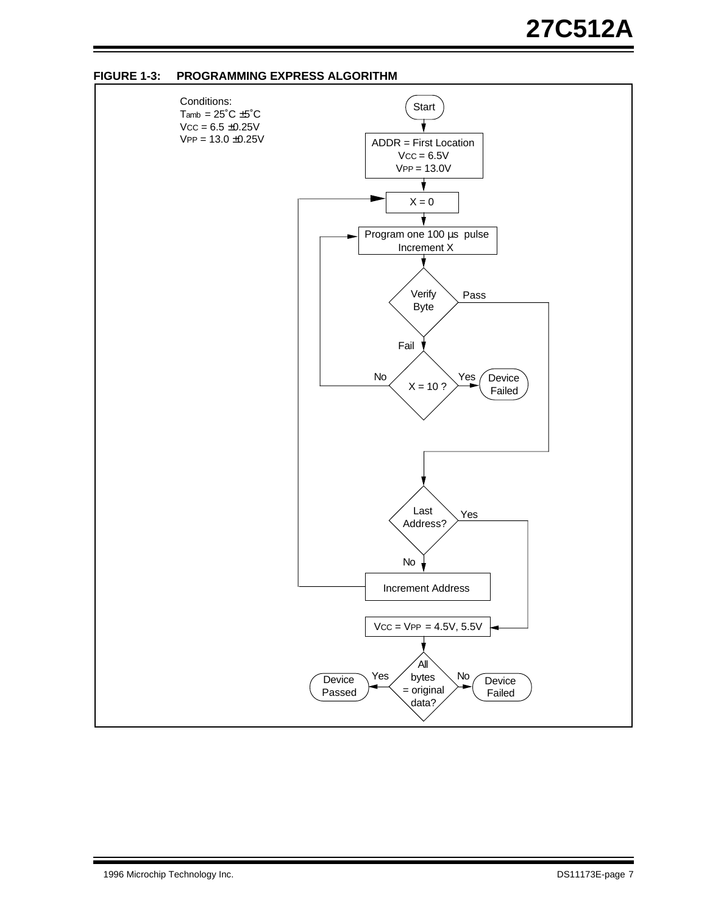

<span id="page-6-0"></span>**FIGURE 1-3: PROGRAMMING EXPRESS ALGORITHM**